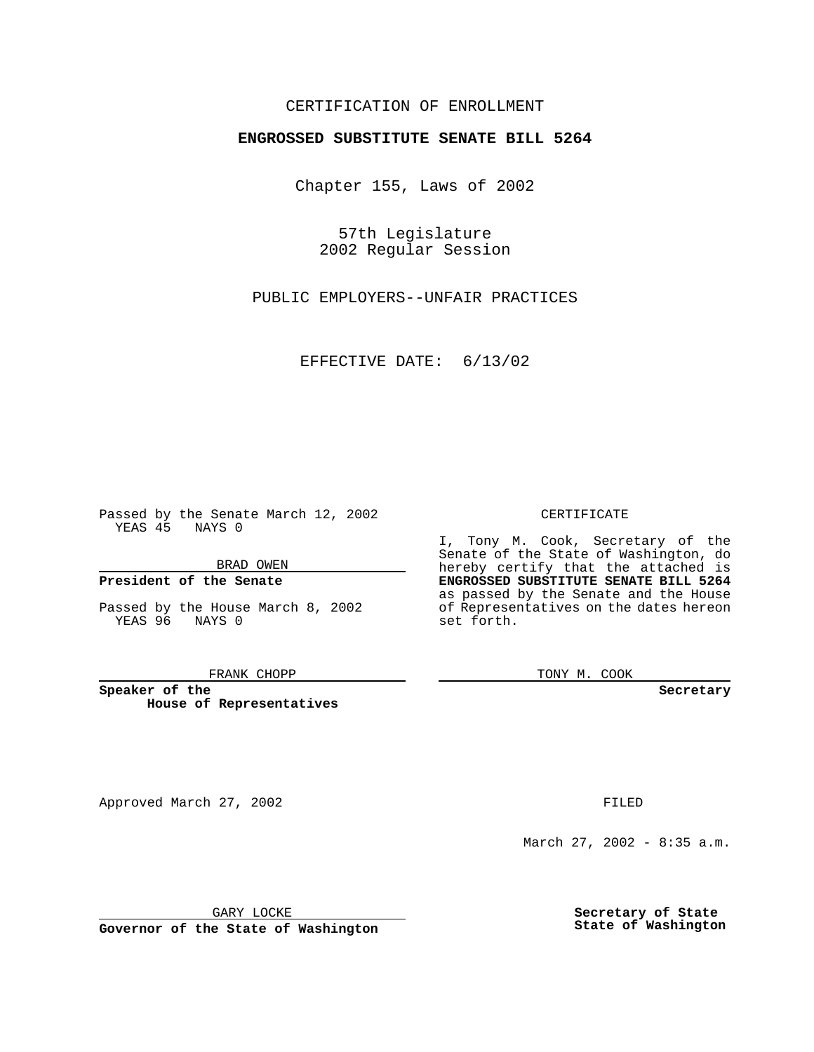## CERTIFICATION OF ENROLLMENT

# **ENGROSSED SUBSTITUTE SENATE BILL 5264**

Chapter 155, Laws of 2002

57th Legislature 2002 Regular Session

PUBLIC EMPLOYERS--UNFAIR PRACTICES

EFFECTIVE DATE: 6/13/02

Passed by the Senate March 12, 2002 YEAS 45 NAYS 0

BRAD OWEN

### **President of the Senate**

Passed by the House March 8, 2002 YEAS 96 NAYS 0

#### FRANK CHOPP

**Speaker of the House of Representatives**

Approved March 27, 2002 **FILED** 

March 27, 2002 - 8:35 a.m.

GARY LOCKE

**Governor of the State of Washington**

**Secretary of State State of Washington**

CERTIFICATE

I, Tony M. Cook, Secretary of the Senate of the State of Washington, do hereby certify that the attached is **ENGROSSED SUBSTITUTE SENATE BILL 5264** as passed by the Senate and the House of Representatives on the dates hereon set forth.

TONY M. COOK

**Secretary**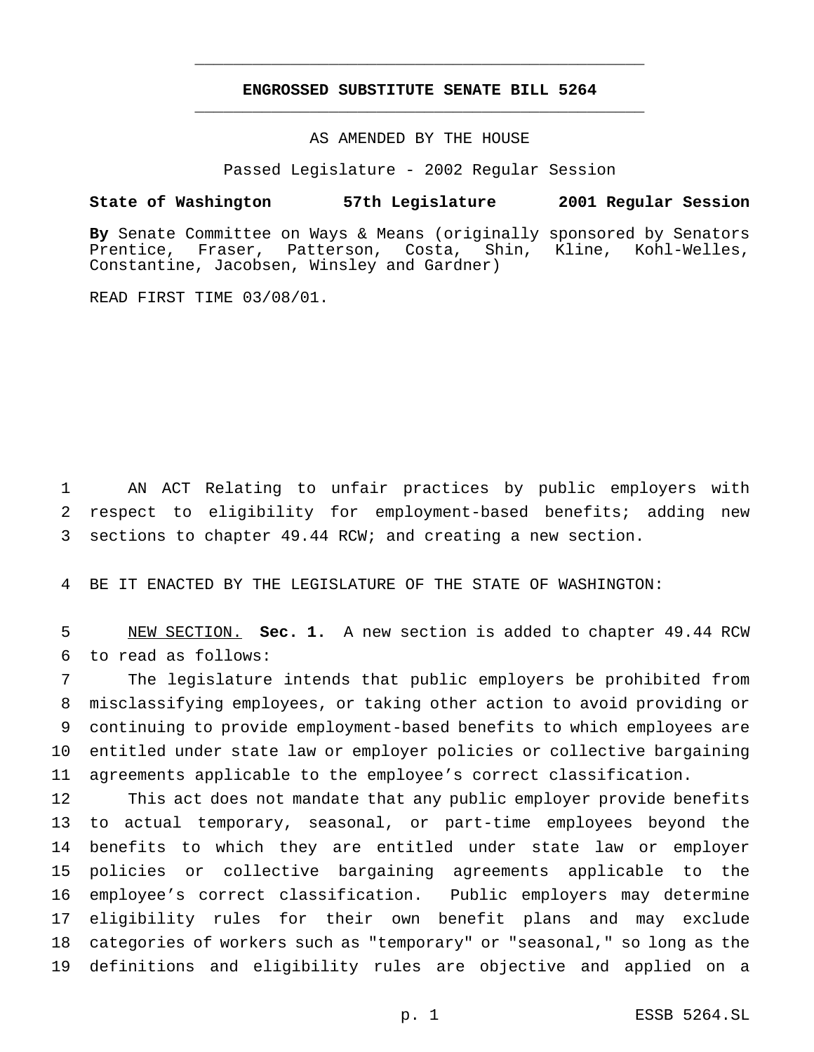## **ENGROSSED SUBSTITUTE SENATE BILL 5264** \_\_\_\_\_\_\_\_\_\_\_\_\_\_\_\_\_\_\_\_\_\_\_\_\_\_\_\_\_\_\_\_\_\_\_\_\_\_\_\_\_\_\_\_\_\_\_

\_\_\_\_\_\_\_\_\_\_\_\_\_\_\_\_\_\_\_\_\_\_\_\_\_\_\_\_\_\_\_\_\_\_\_\_\_\_\_\_\_\_\_\_\_\_\_

### AS AMENDED BY THE HOUSE

Passed Legislature - 2002 Regular Session

### **State of Washington 57th Legislature 2001 Regular Session**

**By** Senate Committee on Ways & Means (originally sponsored by Senators Prentice, Fraser, Patterson, Costa, Shin, Kline, Kohl-Welles, Constantine, Jacobsen, Winsley and Gardner)

READ FIRST TIME 03/08/01.

 AN ACT Relating to unfair practices by public employers with respect to eligibility for employment-based benefits; adding new sections to chapter 49.44 RCW; and creating a new section.

BE IT ENACTED BY THE LEGISLATURE OF THE STATE OF WASHINGTON:

 NEW SECTION. **Sec. 1.** A new section is added to chapter 49.44 RCW to read as follows:

 The legislature intends that public employers be prohibited from misclassifying employees, or taking other action to avoid providing or continuing to provide employment-based benefits to which employees are entitled under state law or employer policies or collective bargaining agreements applicable to the employee's correct classification.

 This act does not mandate that any public employer provide benefits to actual temporary, seasonal, or part-time employees beyond the benefits to which they are entitled under state law or employer policies or collective bargaining agreements applicable to the employee's correct classification. Public employers may determine eligibility rules for their own benefit plans and may exclude categories of workers such as "temporary" or "seasonal," so long as the definitions and eligibility rules are objective and applied on a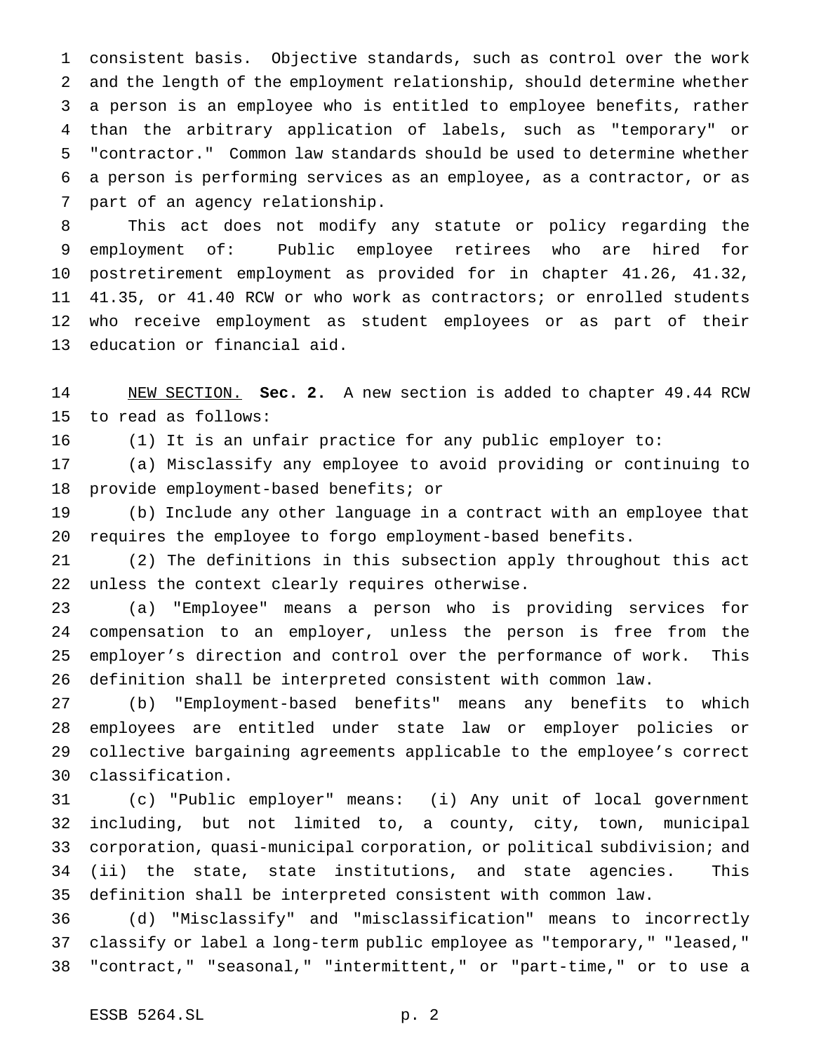consistent basis. Objective standards, such as control over the work and the length of the employment relationship, should determine whether a person is an employee who is entitled to employee benefits, rather than the arbitrary application of labels, such as "temporary" or "contractor." Common law standards should be used to determine whether a person is performing services as an employee, as a contractor, or as part of an agency relationship.

 This act does not modify any statute or policy regarding the employment of: Public employee retirees who are hired for postretirement employment as provided for in chapter 41.26, 41.32, 41.35, or 41.40 RCW or who work as contractors; or enrolled students who receive employment as student employees or as part of their education or financial aid.

 NEW SECTION. **Sec. 2.** A new section is added to chapter 49.44 RCW to read as follows:

(1) It is an unfair practice for any public employer to:

 (a) Misclassify any employee to avoid providing or continuing to provide employment-based benefits; or

 (b) Include any other language in a contract with an employee that requires the employee to forgo employment-based benefits.

 (2) The definitions in this subsection apply throughout this act unless the context clearly requires otherwise.

 (a) "Employee" means a person who is providing services for compensation to an employer, unless the person is free from the employer's direction and control over the performance of work. This definition shall be interpreted consistent with common law.

 (b) "Employment-based benefits" means any benefits to which employees are entitled under state law or employer policies or collective bargaining agreements applicable to the employee's correct classification.

 (c) "Public employer" means: (i) Any unit of local government including, but not limited to, a county, city, town, municipal corporation, quasi-municipal corporation, or political subdivision; and (ii) the state, state institutions, and state agencies. This definition shall be interpreted consistent with common law.

 (d) "Misclassify" and "misclassification" means to incorrectly classify or label a long-term public employee as "temporary," "leased," "contract," "seasonal," "intermittent," or "part-time," or to use a